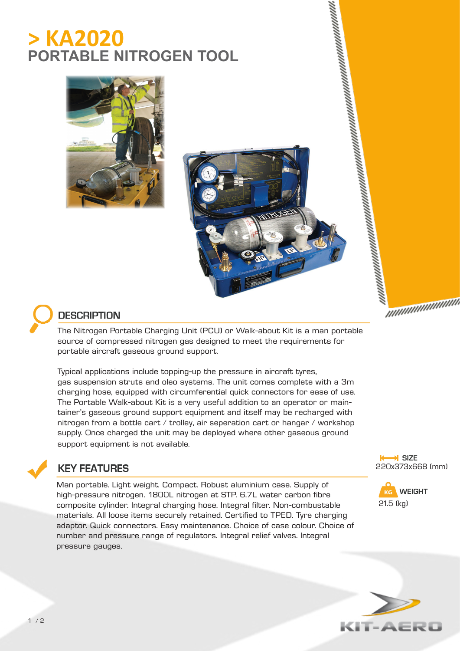# **> KA2020 PORTABLE NITROGEN TOOL**







### **DESCRIPTION**

The Nitrogen Portable Charging Unit (PCU) or Walk-about Kit is a man portable source of compressed nitrogen gas designed to meet the requirements for portable aircraft gaseous ground support.

Typical applications include topping-up the pressure in aircraft tyres, gas suspension struts and oleo systems. The unit comes complete with a 3m charging hose, equipped with circumferential quick connectors for ease of use. The Portable Walk-about Kit is a very useful addition to an operator or maintainer's gaseous ground support equipment and itself may be recharged with nitrogen from a bottle cart / trolley, air seperation cart or hangar / workshop supply. Once charged the unit may be deployed where other gaseous ground support equipment is not available.



#### **KEY FEATURES**

Man portable. Light weight. Compact. Robust aluminium case. Supply of high-pressure nitrogen. 1800L nitrogen at STP. 6.7L water carbon fibre composite cylinder. Integral charging hose. Integral filter. Non-combustable materials. All loose items securely retained. Certified to TPED. Tyre charging adaptor. Quick connectors. Easy maintenance. Choice of case colour. Choice of number and pressure range of regulators. Integral relief valves. Integral pressure gauges.

**K** SIZE 220x373x668 (mm)

nuunuunuun